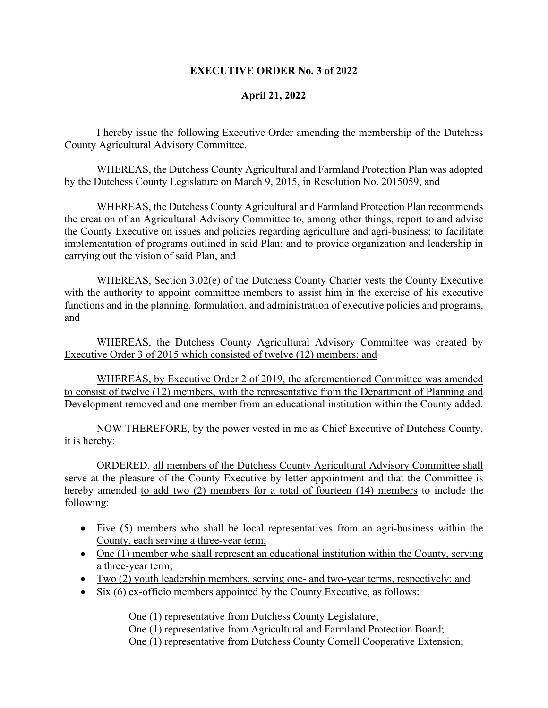## **EXECUTIVE ORDER No. 3 of 2022**

## **April 21, 2022**

I hereby issue the following Executive Order amending the membership of the Dutchess County Agricultural Advisory Committee.

WHEREAS, the Dutchess County Agricultural and Farmland Protection Plan was adopted by the Dutchess County Legislature on March 9, 2015, in Resolution No. 2015059, and

WHEREAS, the Dutchess County Agricultural and Farmland Protection Plan recommends the creation of an Agricultural Advisory Committee to, among other things, report to and advise the County Executive on issues and policies regarding agriculture and agri-business; to facilitate implementation of programs outlined in said Plan; and to provide organization and leadership in carrying out the vision of said Plan, and

WHEREAS, Section 3.02(e) of the Dutchess County Charter vests the County Executive with the authority to appoint committee members to assist him in the exercise of his executive functions and in the planning, formulation, and administration of executive policies and programs, and

WHEREAS, the Dutchess County Agricultural Advisory Committee was created by Executive Order 3 of 2015 which consisted of twelve (12) members; and

WHEREAS, by Executive Order 2 of 2019, the aforementioned Committee was amended to consist of twelve (12) members, with the representative from the Department of Planning and Development removed and one member from an educational institution within the County added.

NOW THEREFORE, by the power vested in me as Chief Executive of Dutchess County, it is hereby:

ORDERED, all members of the Dutchess County Agricultural Advisory Committee shall serve at the pleasure of the County Executive by letter appointment and that the Committee is hereby amended to add two (2) members for a total of fourteen (14) members to include the following:

- Five (5) members who shall be local representatives from an agri-business within the County, each serving a three-year term;
- One (1) member who shall represent an educational institution within the County, serving a three-year term;
- Two (2) youth leadership members, serving one- and two-year terms, respectively; and
- Six (6) ex-officio members appointed by the County Executive, as follows:

One (1) representative from Dutchess County Legislature;

One (1) representative from Agricultural and Farmland Protection Board;

One (1) representative from Dutchess County Cornell Cooperative Extension;